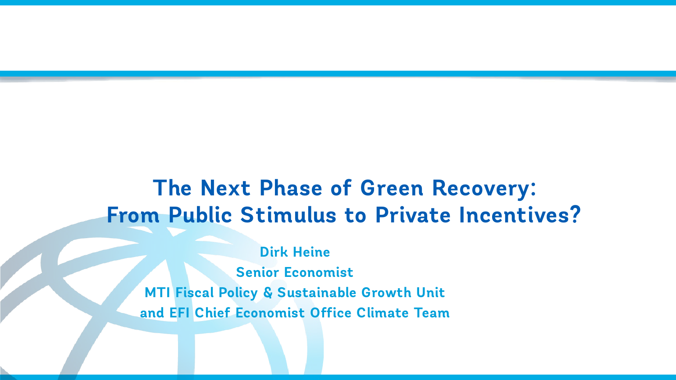# **The Next Phase of Green Recovery: From Public Stimulus to Private Incentives?**

**Dirk Heine Senior Economist MTI Fiscal Policy & Sustainable Growth Unit and EFI Chief Economist Office Climate Team**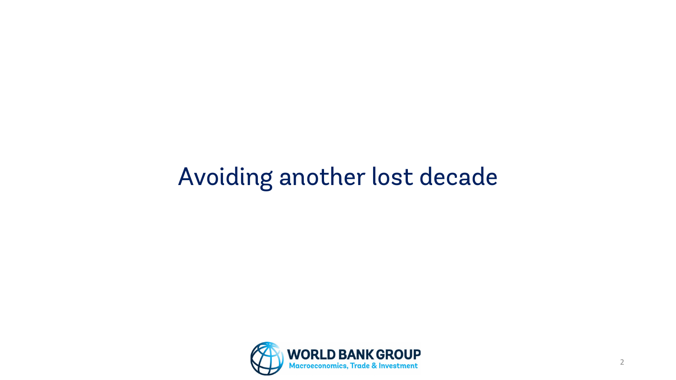# Avoiding another lost decade

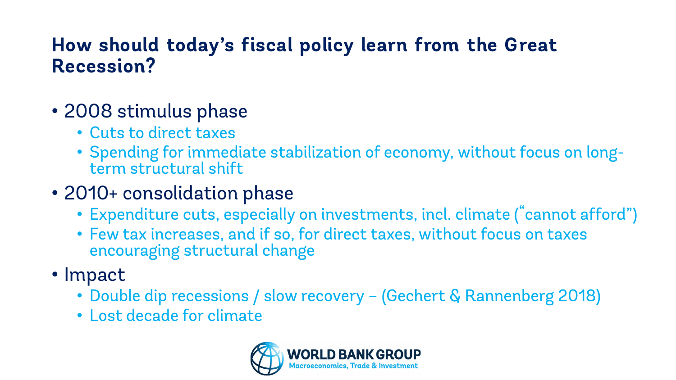### **How should today's fiscal policy learn from the Great Recession?**

- 2008 stimulus phase
	- Cuts to direct taxes
	- Spending for immediate stabilization of economy, without focus on long- term structural shift
- 2010+ consolidation phase
	- Expenditure cuts, especially on investments, incl. climate ("cannot afford")
	- Few tax increases, and if so, for direct taxes, without focus on taxes encouraging structural change
- Impact
	- Double dip recessions / slow recovery (Gechert & Rannenberg 2018)
	- Lost decade for climate

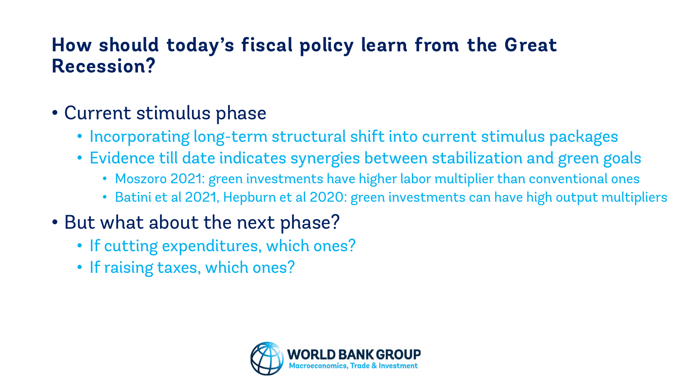### **How should today's fiscal policy learn from the Great Recession?**

- Current stimulus phase
	- Incorporating long-term structural shift into current stimulus packages
	- Evidence till date indicates synergies between stabilization and green goals
		- Moszoro 2021: green investments have higher labor multiplier than conventional ones
		- Batini et al 2021, Hepburn et al 2020: green investments can have high output multipliers
- But what about the next phase?
	- If cutting expenditures, which ones?
	- If raising taxes, which ones?

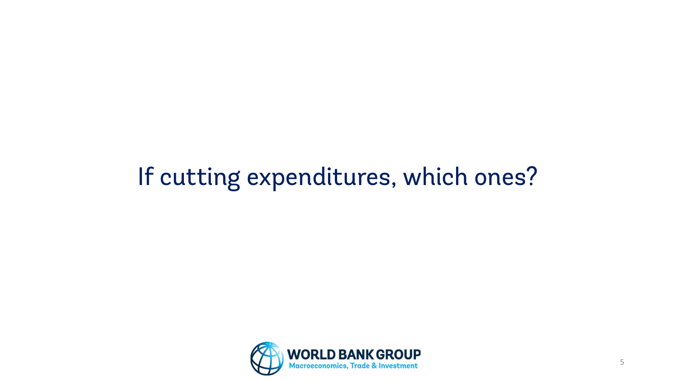# If cutting expenditures, which ones?

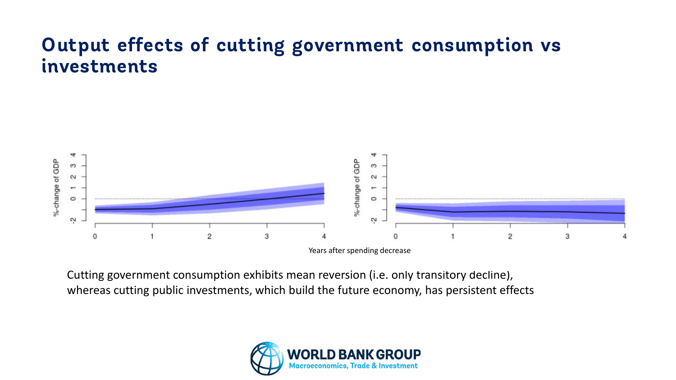### **Output effects of cutting government consumption vs investments**



Cutting government consumption exhibits mean reversion (i.e. only transitory decline), whereas cutting public investments, which build the future economy, has persistent effects

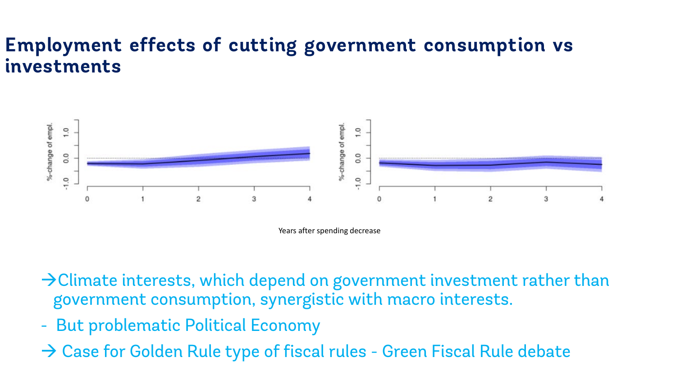### **Employment effects of cutting government consumption vs investments**



Years after spending decrease

- $\rightarrow$  Climate interests, which depend on government investment rather than government consumption, synergistic with macro interests.
- But problematic Political Economy
- → Case for Golden Rule type of fiscal rules Green Fiscal Rule debate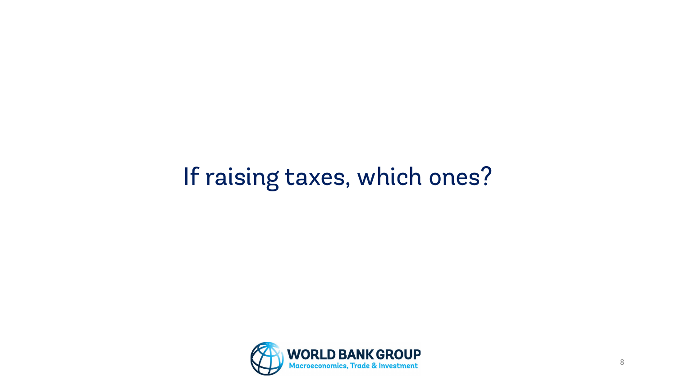# If raising taxes, which ones?

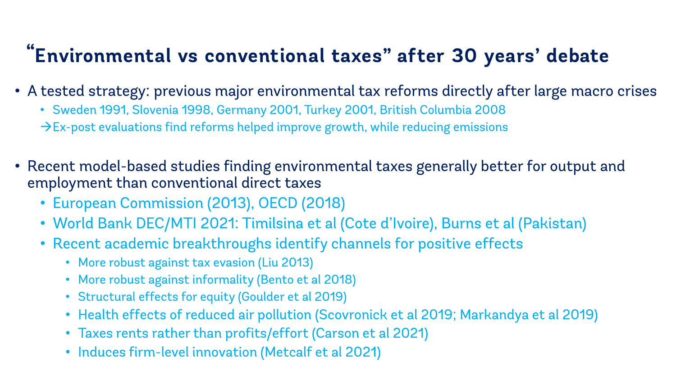# **"Environmental vs conventional taxes" after 30 years' debate**

- A tested strategy: previous major environmental tax reforms directly after large macro crises
	- Sweden 1991, Slovenia 1998, Germany 2001, Turkey 2001, British Columbia 2008
	- $\rightarrow$  Ex-post evaluations find reforms helped improve growth, while reducing emissions
- Recent model-based studies finding environmental taxes generally better for output and employment than conventional direct taxes
	- European Commission (2013), OECD (2018)
	- World Bank DEC/MTI 2021: Timilsina et al (Cote d'Ivoire), Burns et al (Pakistan)
	- Recent academic breakthroughs identify channels for positive effects
		- More robust against tax evasion (Liu 2013)
		- More robust against informality (Bento et al 2018)
		- Structural effects for equity (Goulder et al 2019)
		- Health effects of reduced air pollution (Scovronick et al 2019; Markandya et al 2019)
		- Taxes rents rather than profits/effort (Carson et al 2021)
		- Induces firm-level innovation (Metcalf et al 2021)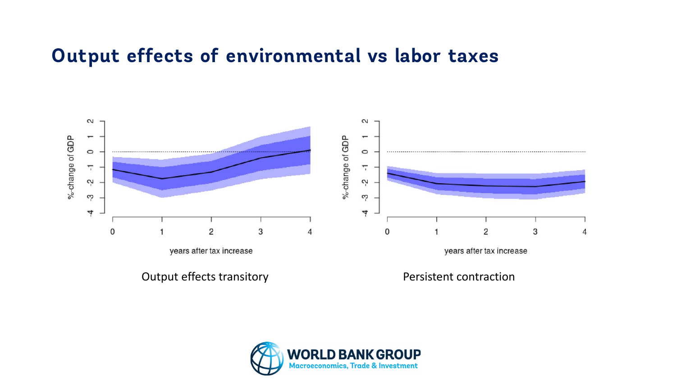#### **Output effects of environmental vs labor taxes**



Output effects transitory example and the Persistent contraction

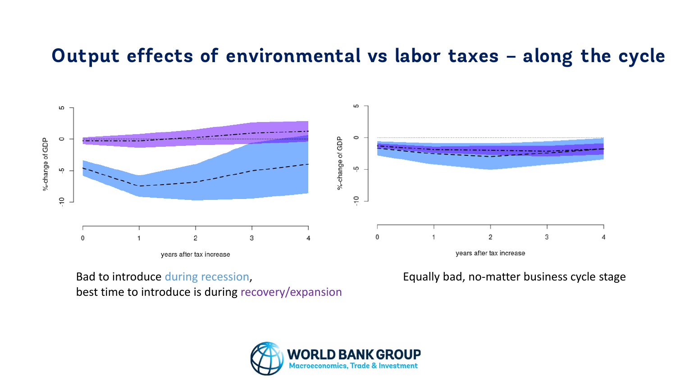#### **Output effects of environmental vs labor taxes – along the cycle**



Bad to introduce during recession, best time to introduce is during recovery/expansion Equally bad, no-matter business cycle stage

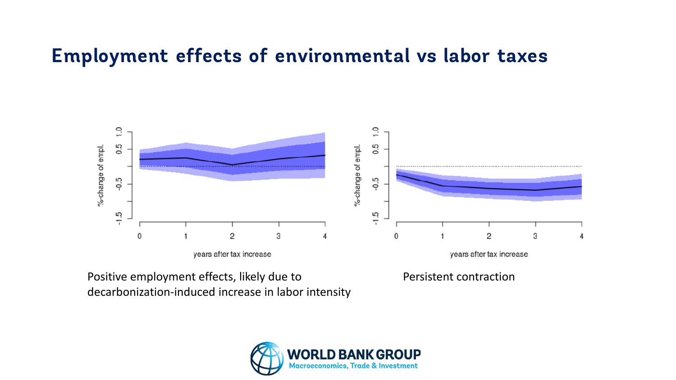#### **Employment effects of environmental vs labor taxes**



Positive employment effects, likely due to decarbonization-induced increase in labor intensity Persistent contraction

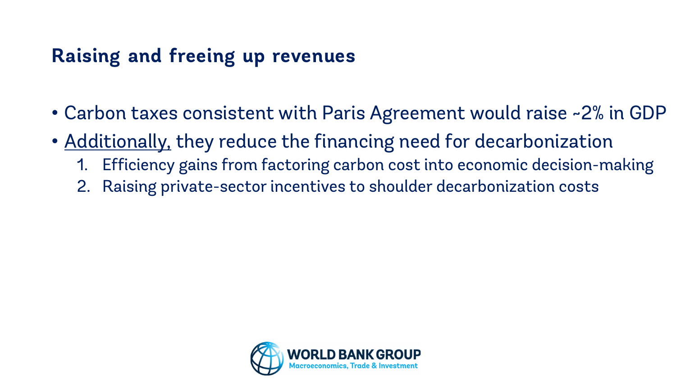# **Raising and freeing up revenues**

- Carbon taxes consistent with Paris Agreement would raise ~2% in GDP
- Additionally, they reduce the financing need for decarbonization
	- 1. Efficiency gains from factoring carbon cost into economic decision-making
	- 2. Raising private-sector incentives to shoulder decarbonization costs